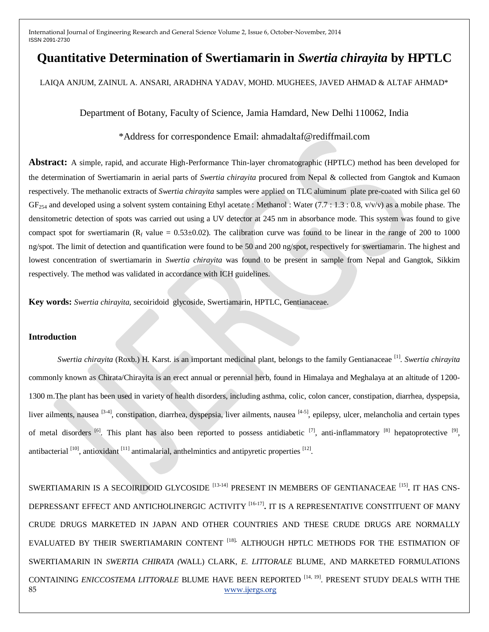# **Quantitative Determination of Swertiamarin in** *Swertia chirayita* **by HPTLC**

LAIQA ANJUM, ZAINUL A. ANSARI, ARADHNA YADAV, MOHD. MUGHEES, JAVED AHMAD & ALTAF AHMAD\*

## Department of Botany, Faculty of Science, Jamia Hamdard, New Delhi 110062, India

## \*Address for correspondence Email: ahmadaltaf@rediffmail.com

**Abstract:** A simple, rapid, and accurate High-Performance Thin-layer chromatographic (HPTLC) method has been developed for the determination of Swertiamarin in aerial parts of *Swertia chirayita* procured from Nepal & collected from Gangtok and Kumaon respectively. The methanolic extracts of *Swertia chirayita* samples were applied on TLC aluminum plate pre-coated with Silica gel 60  $GF<sub>254</sub>$  and developed using a solvent system containing Ethyl acetate : Methanol : Water (7.7 : 1.3 : 0.8, v/v/v) as a mobile phase. The densitometric detection of spots was carried out using a UV detector at 245 nm in absorbance mode. This system was found to give compact spot for swertiamarin ( $R_f$  value = 0.53±0.02). The calibration curve was found to be linear in the range of 200 to 1000 ng/spot. The limit of detection and quantification were found to be 50 and 200 ng/spot, respectively for swertiamarin. The highest and lowest concentration of swertiamarin in *Swertia chirayita* was found to be present in sample from Nepal and Gangtok, Sikkim respectively. The method was validated in accordance with ICH guidelines.

**Key words:** *Swertia chirayita,* secoiridoid glycoside, Swertiamarin, HPTLC, Gentianaceae.

### **Introduction**

*Swertia chirayita* (Roxb.) H. Karst. is an important medicinal plant, belongs to the family Gentianaceae [1] . *Swertia chirayita*  commonly known as Chirata/Chirayita is an erect annual or perennial herb, found in Himalaya and Meghalaya at an altitude of 1200- 1300 m.The plant has been used in variety of health disorders, including asthma, colic, colon cancer, constipation, diarrhea, dyspepsia, liver ailments, nausea <sup>[3-4]</sup>, constipation, diarrhea, dyspepsia, liver ailments, nausea <sup>[4-5]</sup>, epilepsy, ulcer, melancholia and certain types of metal disorders <sup>[6]</sup>. This plant has also been reported to possess antidiabetic <sup>[7]</sup>, anti-inflammatory <sup>[8]</sup> hepatoprotective <sup>[9]</sup>, antibacterial  $[10]$ , antioxidant  $[11]$  antimalarial, anthelmintics and antipyretic properties  $[12]$ .

85 [www.ijergs.org](http://www.ijergs.org/) SWERTIAMARIN IS A SECOIRIDOID GLYCOSIDE [13-14] PRESENT IN MEMBERS OF GENTIANACEAE [15] **.** IT HAS CNS-DEPRESSANT EFFECT AND ANTICHOLINERGIC ACTIVITY [16-17] **.** IT IS A REPRESENTATIVE CONSTITUENT OF MANY CRUDE DRUGS MARKETED IN JAPAN AND OTHER COUNTRIES AND THESE CRUDE DRUGS ARE NORMALLY EVALUATED BY THEIR SWERTIAMARIN CONTENT [18]**.** ALTHOUGH HPTLC METHODS FOR THE ESTIMATION OF SWERTIAMARIN IN *SWERTIA CHIRATA (*WALL) CLARK, *E. LITTORALE* BLUME, AND MARKETED FORMULATIONS CONTAINING *ENICCOSTEMA LITTORALE* BLUME HAVE BEEN REPORTED [14, 19]. PRESENT STUDY DEALS WITH THE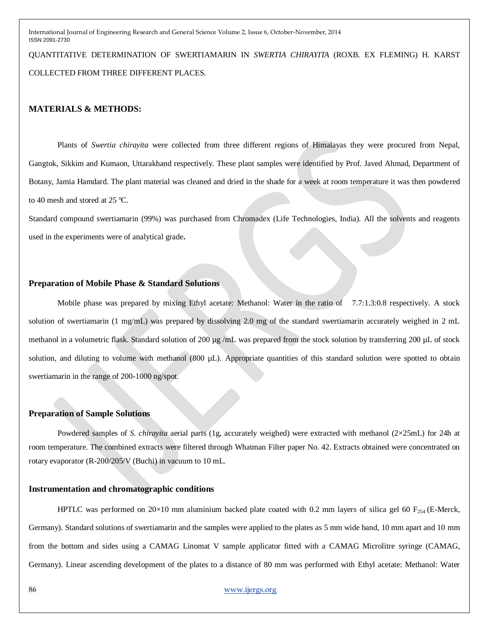QUANTITATIVE DETERMINATION OF SWERTIAMARIN IN *SWERTIA CHIRAYITA* (ROXB. EX FLEMING) H. KARST COLLECTED FROM THREE DIFFERENT PLACES.

#### **MATERIALS & METHODS:**

Plants of *Swertia chirayita* were collected from three different regions of Himalayas they were procured from Nepal, Gangtok, Sikkim and Kumaon, Uttarakhand respectively. These plant samples were identified by Prof. Javed Ahmad, Department of Botany, Jamia Hamdard. The plant material was cleaned and dried in the shade for a week at room temperature it was then powdered to 40 mesh and stored at 25 ºC.

Standard compound swertiamarin (99%) was purchased from Chromadex (Life Technologies, India). All the solvents and reagents used in the experiments were of analytical grade**.** 

#### **Preparation of Mobile Phase & Standard Solutions**

Mobile phase was prepared by mixing Ethyl acetate: Methanol: Water in the ratio of 7.7:1.3:0.8 respectively. A stock solution of swertiamarin (1 mg/mL) was prepared by dissolving 2.0 mg of the standard swertiamarin accurately weighed in 2 mL methanol in a volumetric flask. Standard solution of 200 µg /mL was prepared from the stock solution by transferring 200 µL of stock solution, and diluting to volume with methanol (800  $\mu$ L). Appropriate quantities of this standard solution were spotted to obtain swertiamarin in the range of 200-1000 ng/spot.

## **Preparation of Sample Solutions**

Powdered samples of *S. chirayita* aerial parts (1g, accurately weighed) were extracted with methanol (2×25mL) for 24h at room temperature. The combined extracts were filtered through Whatman Filter paper No. 42. Extracts obtained were concentrated on rotary evaporator (R-200/205/V (Buchi) in vacuum to 10 mL.

#### **Instrumentation and chromatographic conditions**

HPTLC was performed on 20×10 mm aluminium backed plate coated with 0.2 mm layers of silica gel 60 F<sub>254</sub> (E-Merck, Germany). Standard solutions of swertiamarin and the samples were applied to the plates as 5 mm wide band, 10 mm apart and 10 mm from the bottom and sides using a CAMAG Linomat V sample applicator fitted with a CAMAG Microlitre syringe (CAMAG, Germany). Linear ascending development of the plates to a distance of 80 mm was performed with Ethyl acetate: Methanol: Water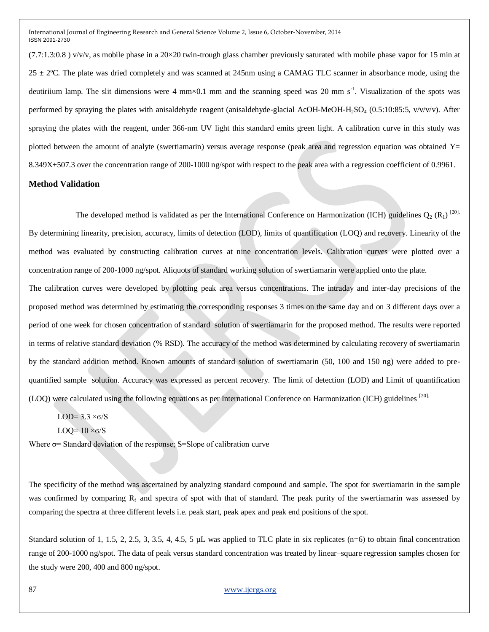$(7.7:1.3:0.8)$  v/v/v, as mobile phase in a  $20\times20$  twin-trough glass chamber previously saturated with mobile phase vapor for 15 min at  $25 \pm 2$ °C. The plate was dried completely and was scanned at 245nm using a CAMAG TLC scanner in absorbance mode, using the deutiriium lamp. The slit dimensions were 4 mm $\times$ 0.1 mm and the scanning speed was 20 mm s<sup>-1</sup>. Visualization of the spots was performed by spraying the plates with anisaldehyde reagent (anisaldehyde-glacial AcOH-MeOH-H<sub>2</sub>SO<sub>4</sub> (0.5:10:85:5, v/v/v/v). After spraying the plates with the reagent, under 366-nm UV light this standard emits green light. A calibration curve in this study was plotted between the amount of analyte (swertiamarin) versus average response (peak area and regression equation was obtained  $Y=$ 8.349X+507.3 over the concentration range of 200-1000 ng/spot with respect to the peak area with a regression coefficient of 0.9961.

## **Method Validation**

The developed method is validated as per the International Conference on Harmonization (ICH) guidelines  $Q_2(R_1)$ <sup>[20].</sup> By determining linearity, precision, accuracy, limits of detection (LOD), limits of quantification (LOQ) and recovery. Linearity of the method was evaluated by constructing calibration curves at nine concentration levels. Calibration curves were plotted over a concentration range of 200-1000 ng/spot. Aliquots of standard working solution of swertiamarin were applied onto the plate.

The calibration curves were developed by plotting peak area versus concentrations. The intraday and inter-day precisions of the proposed method was determined by estimating the corresponding responses 3 times on the same day and on 3 different days over a period of one week for chosen concentration of standard solution of swertiamarin for the proposed method. The results were reported in terms of relative standard deviation (% RSD). The accuracy of the method was determined by calculating recovery of swertiamarin by the standard addition method. Known amounts of standard solution of swertiamarin (50, 100 and 150 ng) were added to prequantified sample solution. Accuracy was expressed as percent recovery. The limit of detection (LOD) and Limit of quantification (LOQ) were calculated using the following equations as per International Conference on Harmonization (ICH) guidelines [20].

LOD=  $3.3 \times \sigma/S$ 

LOQ=  $10 \times \sigma/S$ 

Where σ= Standard deviation of the response; S=Slope of calibration curve

The specificity of the method was ascertained by analyzing standard compound and sample. The spot for swertiamarin in the sample was confirmed by comparing  $R_f$  and spectra of spot with that of standard. The peak purity of the swertiamarin was assessed by comparing the spectra at three different levels i.e. peak start, peak apex and peak end positions of the spot.

Standard solution of 1, 1.5, 2, 2.5, 3, 3.5, 4, 4.5, 5  $\mu$ L was applied to TLC plate in six replicates (n=6) to obtain final concentration range of 200-1000 ng/spot. The data of peak versus standard concentration was treated by linear–square regression samples chosen for the study were 200, 400 and 800 ng/spot.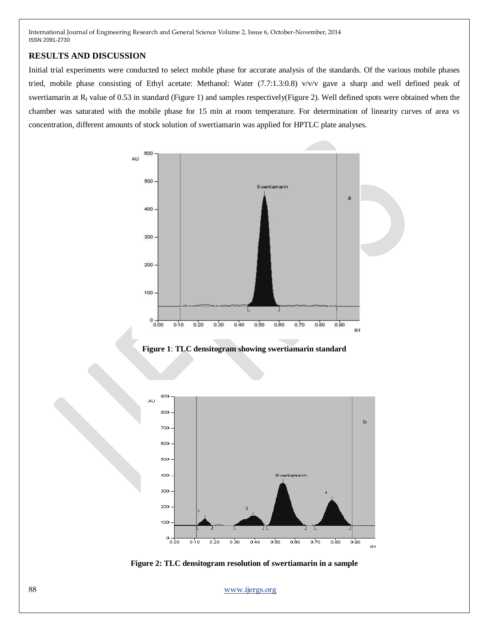## **RESULTS AND DISCUSSION**

Initial trial experiments were conducted to select mobile phase for accurate analysis of the standards. Of the various mobile phases tried, mobile phase consisting of Ethyl acetate: Methanol: Water (7.7:1.3:0.8) v/v/v gave a sharp and well defined peak of swertiamarin at R<sub>f</sub> value of 0.53 in standard (Figure 1) and samples respectively(Figure 2). Well defined spots were obtained when the chamber was saturated with the mobile phase for 15 min at room temperature. For determination of linearity curves of area vs concentration, different amounts of stock solution of swertiamarin was applied for HPTLC plate analyses.



**Figure 1**: **TLC densitogram showing swertiamarin standard** 



**Figure 2: TLC densitogram resolution of swertiamarin in a sample**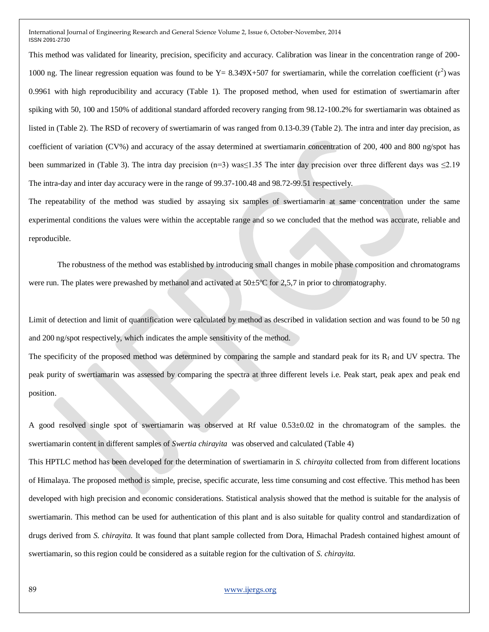This method was validated for linearity, precision, specificity and accuracy. Calibration was linear in the concentration range of 200- 1000 ng. The linear regression equation was found to be  $Y = 8.349X+507$  for swertiamarin, while the correlation coefficient ( $r^2$ ) was 0.9961 with high reproducibility and accuracy (Table 1). The proposed method, when used for estimation of swertiamarin after spiking with 50, 100 and 150% of additional standard afforded recovery ranging from 98.12-100.2% for swertiamarin was obtained as listed in (Table 2). The RSD of recovery of swertiamarin of was ranged from 0.13-0.39 (Table 2). The intra and inter day precision, as coefficient of variation (CV%) and accuracy of the assay determined at swertiamarin concentration of 200, 400 and 800 ng/spot has been summarized in (Table 3). The intra day precision (n=3) was  $\leq$  1.35 The inter day precision over three different days was  $\leq$  2.19 The intra-day and inter day accuracy were in the range of 99.37-100.48 and 98.72-99.51 respectively.

The repeatability of the method was studied by assaying six samples of swertiamarin at same concentration under the same experimental conditions the values were within the acceptable range and so we concluded that the method was accurate, reliable and reproducible.

The robustness of the method was established by introducing small changes in mobile phase composition and chromatograms were run. The plates were prewashed by methanol and activated at  $50\pm5\degree$ C for 2,5,7 in prior to chromatography.

Limit of detection and limit of quantification were calculated by method as described in validation section and was found to be 50 ng and 200 ng/spot respectively, which indicates the ample sensitivity of the method.

The specificity of the proposed method was determined by comparing the sample and standard peak for its  $R_f$  and UV spectra. The peak purity of swertiamarin was assessed by comparing the spectra at three different levels i.e. Peak start, peak apex and peak end position.

A good resolved single spot of swertiamarin was observed at Rf value 0.53±0.02 in the chromatogram of the samples. the swertiamarin content in different samples of *Swertia chirayita* was observed and calculated (Table 4)

This HPTLC method has been developed for the determination of swertiamarin in *S. chirayita* collected from from different locations of Himalaya. The proposed method is simple, precise, specific accurate, less time consuming and cost effective. This method has been developed with high precision and economic considerations. Statistical analysis showed that the method is suitable for the analysis of swertiamarin. This method can be used for authentication of this plant and is also suitable for quality control and standardization of drugs derived from *S. chirayita.* It was found that plant sample collected from Dora, Himachal Pradesh contained highest amount of swertiamarin, so this region could be considered as a suitable region for the cultivation of *S. chirayita.*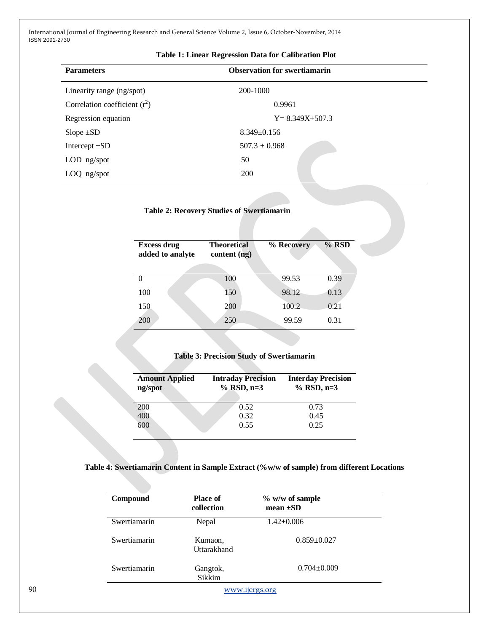| <b>Parameters</b>               | <b>Observation for swertiamarin</b> |  |
|---------------------------------|-------------------------------------|--|
| Linearity range (ng/spot)       | 200-1000                            |  |
| Correlation coefficient $(r^2)$ | 0.9961                              |  |
| Regression equation             | $Y = 8.349X + 507.3$                |  |
| Slope $\pm SD$                  | $8.349 \pm 0.156$                   |  |
| Intercept $\pm SD$              | $507.3 \pm 0.968$                   |  |
| $LOD$ ng/spot                   | 50                                  |  |
| $LOQ$ ng/spot                   | <b>200</b>                          |  |
|                                 |                                     |  |

## **Table 1: Linear Regression Data for Calibration Plot**

|                                        |                                    | <b>Table 2: Recovery Studies of Swertiamarin</b> |       |  |  |
|----------------------------------------|------------------------------------|--------------------------------------------------|-------|--|--|
|                                        |                                    |                                                  |       |  |  |
| <b>Excess drug</b><br>added to analyte | <b>Theoretical</b><br>content (ng) | % Recovery                                       | % RSD |  |  |
|                                        |                                    |                                                  |       |  |  |
| 0                                      | 100                                | 99.53                                            | 0.39  |  |  |
| 100                                    | 150                                | 98.12                                            | 0.13  |  |  |
| 150                                    | 200                                | 100.2                                            | 0.21  |  |  |
| 200                                    | 250                                | 99.59                                            | 0.31  |  |  |

## **Table 3: Precision Study of Swertiamarin**

| <b>Amount Applied</b><br>ng/spot | <b>Intraday Precision</b><br>$%$ RSD, n=3 | <b>Interday Precision</b><br>$%$ RSD, n=3 |
|----------------------------------|-------------------------------------------|-------------------------------------------|
| <b>200</b>                       | 0.52                                      | 0.73                                      |
| 400                              | 0.32                                      | 0.45                                      |
| 600                              | 0.55                                      | 0.25                                      |

## **Table 4: Swertiamarin Content in Sample Extract (%w/w of sample) from different Locations**

| Compound     | <b>Place of</b><br>collection | $\%$ w/w of sample<br>$mean \pm SD$ |
|--------------|-------------------------------|-------------------------------------|
| Swertiamarin | Nepal                         | $1.42 \pm 0.006$                    |
| Swertiamarin | Kumaon,<br>Uttarakhand        | $0.859 \pm 0.027$                   |
| Swertiamarin | Gangtok,<br>Sikkim            | $0.704 \pm 0.009$                   |
|              |                               | www.ijergs.org                      |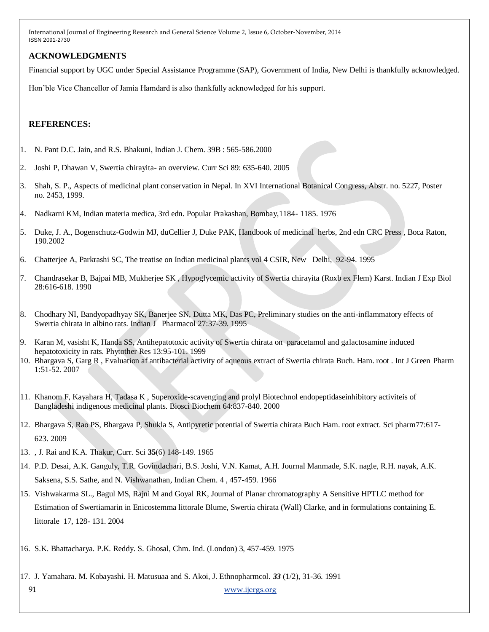## **ACKNOWLEDGMENTS**

Financial support by UGC under Special Assistance Programme (SAP), Government of India, New Delhi is thankfully acknowledged.

Hon'ble Vice Chancellor of Jamia Hamdard is also thankfully acknowledged for his support.

## **REFERENCES:**

- 1. N. Pant D.C. Jain, and R.S. Bhakuni, Indian J. Chem. 39B : 565-586.2000
- 2. Joshi P, Dhawan V, Swertia chirayita- an overview. Curr Sci 89: 635-640. 2005
- 3. Shah, S. P., Aspects of medicinal plant conservation in Nepal. In XVI International Botanical Congress, Abstr. no. 5227, Poster no. 2453, 1999.
- 4. Nadkarni KM, Indian materia medica, 3rd edn. Popular Prakashan, Bombay,1184- 1185. 1976
- 5. Duke, J. A., Bogenschutz-Godwin MJ, duCellier J, Duke PAK, Handbook of medicinal herbs, 2nd edn CRC Press , Boca Raton, 190.2002
- 6. Chatterjee A, Parkrashi SC, The treatise on Indian medicinal plants vol 4 CSIR, New Delhi, 92-94. 1995
- 7. Chandrasekar B, Bajpai MB, Mukherjee SK , Hypoglycemic activity of Swertia chirayita (Roxb ex Flem) Karst. Indian J Exp Biol 28:616-618. 1990
- 8. Chodhary NI, Bandyopadhyay SK, Banerjee SN, Dutta MK, Das PC, Preliminary studies on the anti-inflammatory effects of Swertia chirata in albino rats. Indian J Pharmacol 27:37-39. 1995
- 9. Karan M, vasisht K, Handa SS, Antihepatotoxic activity of Swertia chirata on paracetamol and galactosamine induced hepatotoxicity in rats. Phytother Res 13:95-101. 1999
- 10. Bhargava S, Garg R , Evaluation af antibacterial activity of aqueous extract of Swertia chirata Buch. Ham. root . Int J Green Pharm 1:51-52. 2007
- 11. Khanom F, Kayahara H, Tadasa K , Superoxide-scavenging and prolyl Biotechnol endopeptidaseinhibitory activiteis of Bangladeshi indigenous medicinal plants. Biosci Biochem 64:837-840. 2000
- 12. Bhargava S, Rao PS, Bhargava P, Shukla S, Antipyretic potential of Swertia chirata Buch Ham. root extract. Sci pharm77:617- 623. 2009
- 13. , J. Rai and K.A. Thakur, Curr. Sci **35**(6) 148-149. 1965
- 14. P.D. Desai, A.K. Ganguly, T.R. Govindachari, B.S. Joshi, V.N. Kamat, A.H. Journal Manmade, S.K. nagle, R.H. nayak, A.K. Saksena, S.S. Sathe, and N. Vishwanathan, Indian Chem. 4 , 457-459. 1966
- 15. Vishwakarma SL., Bagul MS, Rajni M and Goyal RK, Journal of Planar chromatography A Sensitive HPTLC method for Estimation of Swertiamarin in Enicostemma littorale Blume, Swertia chirata (Wall) Clarke, and in formulations containing E. littorale 17, 128- 131. 2004
- 16. S.K. Bhattacharya. P.K. Reddy. S. Ghosal, Chm. Ind. (London) 3, 457-459. 1975
- 17. J. Yamahara. M. Kobayashi. H. Matusuaa and S. Akoi, J. Ethnopharmcol*. 33* (1/2), 31-36. 1991